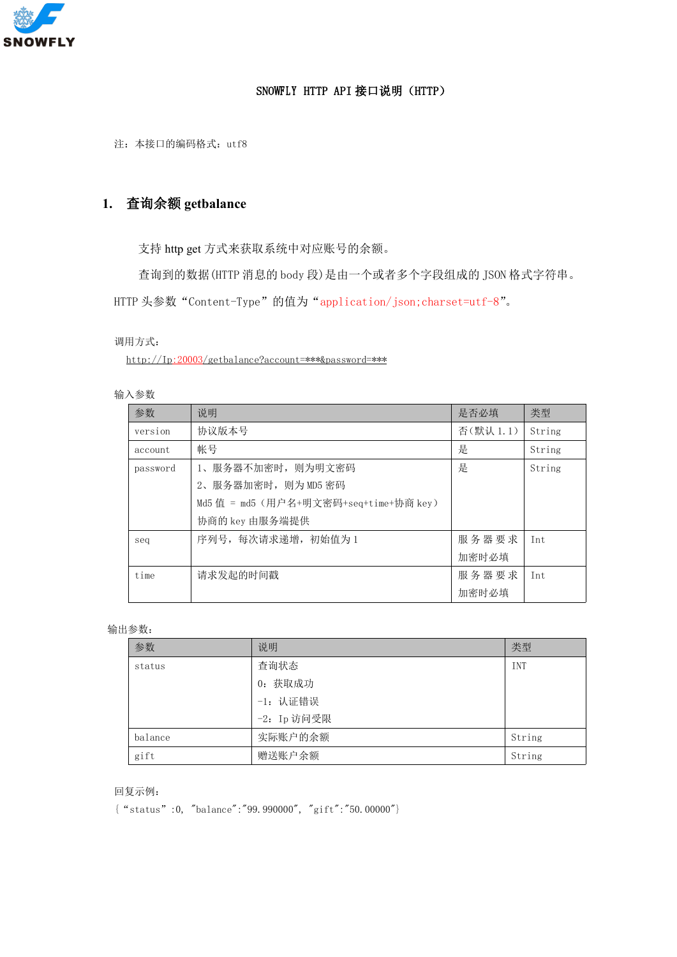

## SNOWFLY HTTP API 接口说明(HTTP)

注: 本接口的编码格式: utf8

# **1.** 查询余额 **getbalance**

支持 http get 方式来获取系统中对应账号的余额。

查询到的数据(HTTP 消息的 body 段)是由一个或者多个字段组成的 JSON 格式字符串。 HTTP 头参数 "Content-Type"的值为 "application/json;charset=utf-8"。

## 调用方式:

http://Ip:20003/getbalance?account=\*\*\*&password=\*\*\*

## 输入参数

| 参数       | 说明                                     | 是否必填     | 类型     |
|----------|----------------------------------------|----------|--------|
| version  | 协议版本号                                  | 否(默认1.1) | String |
| account  | 帐号                                     | 是        | String |
| password | 1、服务器不加密时, 则为明文密码                      | 是        | String |
|          | 2、服务器加密时, 则为 MD5 密码                    |          |        |
|          | Md5 值 = md5 (用户名+明文密码+seq+time+协商 key) |          |        |
|          | 协商的 key 由服务端提供                         |          |        |
| seq      | 序列号, 每次请求递增, 初始值为1                     | 服务器要求    | Int    |
|          |                                        | 加密时必填    |        |
| time     | 请求发起的时间戳                               | 服务器要求    | Int    |
|          |                                        | 加密时必填    |        |

#### 输出参数:

| 参数      | 说明          | 类型         |
|---------|-------------|------------|
| status  | 查询状态        | <b>INT</b> |
|         | 0: 获取成功     |            |
|         | -1: 认证错误    |            |
|         | -2: Ip 访问受限 |            |
| balance | 实际账户的余额     | String     |
| gift    | 赠送账户余额      | String     |

#### 回复示例:

{"status":0, "balance":"99.990000", "gift":"50.00000"}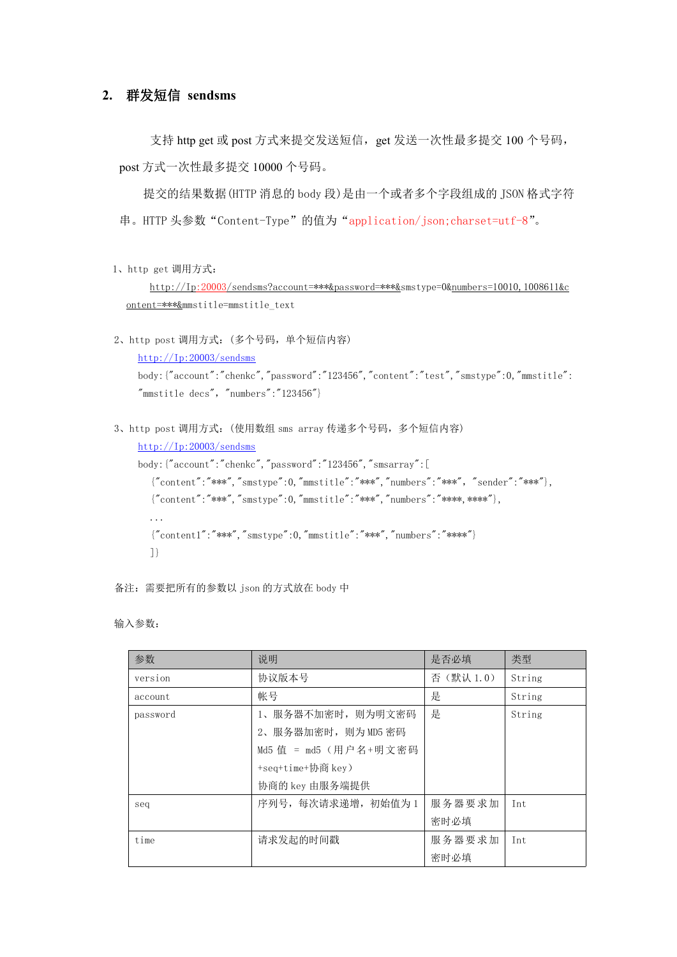# **2.** 群发短信 **sendsms**

支持 http get 或 post 方式来提交发送短信, get 发送一次性最多提交 100 个号码, post 方式一次性最多提交 10000 个号码。

提交的结果数据(HTTP 消息的 body 段)是由一个或者多个字段组成的 JSON 格式字符 串。HTTP 头参数"Content-Type"的值为"application/json;charset=utf-8"。

```
1、http get 调用方式:
```
http://Ip:20003/sendsms?account=\*\*\*&password=\*\*\*&smstype=0&numbers=10010,1008611&c ontent=\*\*\*&mmstitle=mmstitle\_text

2、http post 调用方式:(多个号码,单个短信内容)

```
http://Ip:20003/sendsms
```

```
body:{"account":"chenkc","password":"123456","content":"test","smstype":0,"mmstitle":
"mmstitlet decs", "numbers":"123456"}
```
3、http post 调用方式:(使用数组 sms array 传递多个号码,多个短信内容)

```
http://Ip:20003/sendsms
```

```
body:{"account":"chenkc","password":"123456","smsarray":[
  {"content":"***","smstype":0,"mmstitle":"***","numbers":"***","sender":"***"},
  { "content":"***", "smstype":0, "mmstitle":"***", "numbers":"****, ****"},
  ...
  {7 content1":"***","smstype":0,"mmstitle":"***","numbers":"****"}
  ]}
```
备注:需要把所有的参数以 json 的方式放在 body 中

输入参数:

| 参数       | 说明                    | 是否必填     | 类型     |
|----------|-----------------------|----------|--------|
| version  | 协议版本号                 | 否(默认1.0) | String |
| account  | 帐号                    | 是        | String |
| password | 1、服务器不加密时, 则为明文密码     | 是        | String |
|          | 2、服务器加密时, 则为 MD5 密码   |          |        |
|          | Md5 值 = md5 (用户名+明文密码 |          |        |
|          | +seq+time+协商 key)     |          |        |
|          | 协商的 key 由服务端提供        |          |        |
| seq      | 序列号, 每次请求递增, 初始值为1    | 服务器要求加   | Int    |
|          |                       | 密时必填     |        |
| time     | 请求发起的时间戳              | 服务器要求加   | Int    |
|          |                       | 密时必填     |        |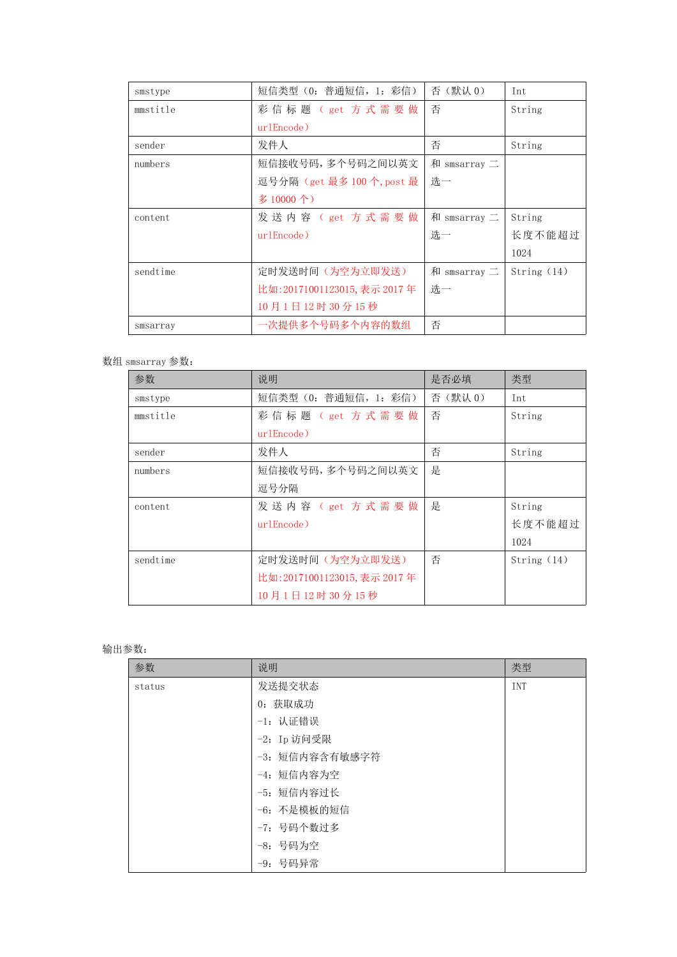| 短信类型 (0: 普通短信, 1: 彩信)        | 否(默认0)              | Int           |
|------------------------------|---------------------|---------------|
| 彩信标题 (get 方式需要做              | 否                   | String        |
| urlEncode)                   |                     |               |
| 发件人                          | 否                   | String        |
| 短信接收号码,多个号码之间以英文             | 和 smsarray $\equiv$ |               |
| 逗号分隔 (get 最多 100 个, post 最   | 选一                  |               |
| 多10000个)                     |                     |               |
| 发送内容 (get 方式需要做              | 和 smsarray $\equiv$ | String        |
| urlEncode)                   | 选一                  | 长度不能超过        |
|                              |                     | 1024          |
| 定时发送时间(为空为立即发送)              | 和 smsarray 二        | String $(14)$ |
| 比如: 20171001123015, 表示 2017年 | 选一                  |               |
| 10月1日12时30分15秒               |                     |               |
|                              | 否                   |               |
|                              |                     |               |

## 数组 smsarray 参数:

| 参数       | 说明                           | 是否必填   | 类型            |
|----------|------------------------------|--------|---------------|
| smstype  | 短信类型 (0: 普通短信, 1: 彩信)        | 否(默认0) | Int           |
| mmstitle | 彩信标题 (get 方式需要做              | 否      | String        |
|          | urlEncode)                   |        |               |
| sender   | 发件人                          | 否      | String        |
| numbers  | 短信接收号码,多个号码之间以英文             | 是      |               |
|          | 逗号分隔                         |        |               |
| content  | 发送内容 (get 方式需要做              | 是      | String        |
|          | urlEncode)                   |        | 长度不能超过        |
|          |                              |        | 1024          |
| sendtime | 定时发送时间(为空为立即发送)              | 否      | String $(14)$ |
|          | 比如: 20171001123015, 表示 2017年 |        |               |
|          | 10月1日12时30分15秒               |        |               |

## 输出参数:

| 参数     | 说明             | 类型  |
|--------|----------------|-----|
| status | 发送提交状态         | INT |
|        | 0: 获取成功        |     |
|        | -1: 认证错误       |     |
|        | -2: Ip 访问受限    |     |
|        | -3: 短信内容含有敏感字符 |     |
|        | -4: 短信内容为空     |     |
|        | -5: 短信内容过长     |     |
|        | -6: 不是模板的短信    |     |
|        | -7: 号码个数过多     |     |
|        | -8: 号码为空       |     |
|        | -9: 号码异常       |     |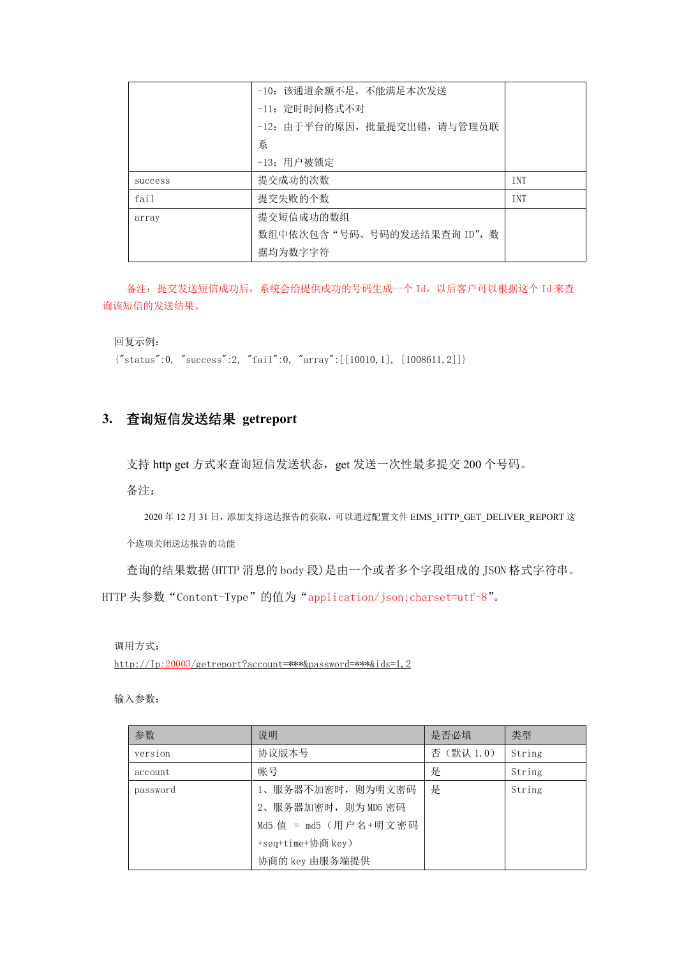|         | -10: 该通道余额不足, 不能满足本次发送       |            |
|---------|------------------------------|------------|
|         | -11: 定时时间格式不对                |            |
|         | -12: 由于平台的原因, 批量提交出错, 请与管理员联 |            |
|         | 系                            |            |
|         | -13; 用户被锁定                   |            |
| success | 提交成功的次数                      | <b>TNT</b> |
| fail    | 提交失败的个数                      | <b>TNT</b> |
| array   | 提交短信成功的数组                    |            |
|         | 数组中依次包含"号码、号码的发送结果查询 ID", 数  |            |
|         | 据均为数字字符                      |            |
|         |                              |            |

备注:提交发送短信成功后,系统会给提供成功的号码生成一个 Id,以后客户可以根据这个 Id 来查 询该短信的发送结果。

回复示例:

 ${$ "status":0, "success":2, "fail":0, "array": [[10010,1], [1008611,2]]}

# **3.** 查询短信发送结果 **getreport**

支持 http get 方式来查询短信发送状态, get 发送一次性最多提交 200 个号码。

备注:

2020年12月31日,添加支持送达报告的获取,可以通过配置文件 EIMS\_HTTP\_GET\_DELIVER\_REPORT 这

个选项关闭送达报告的功能

查询的结果数据(HTTP 消息的 body 段)是由一个或者多个字段组成的 JSON 格式字符串。

HTTP 头参数 "Content-Type"的值为 "application/json;charset=utf-8"。

调用方式:

http://Ip:20003/getreport?account=\*\*\*&password=\*\*\*&ids=1,2

输入参数:

| 参数       | 说明                    | 是否必填     | 类型     |
|----------|-----------------------|----------|--------|
| version  | 协议版本号                 | 否(默认1.0) | String |
| account  | 帐号                    | 是        | String |
| password | 1、服务器不加密时, 则为明文密码     | 是        | String |
|          | 2、服务器加密时, 则为 MD5 密码   |          |        |
|          | Md5 值 = md5 (用户名+明文密码 |          |        |
|          | +seq+time+协商 key)     |          |        |
|          | 协商的 key 由服务端提供        |          |        |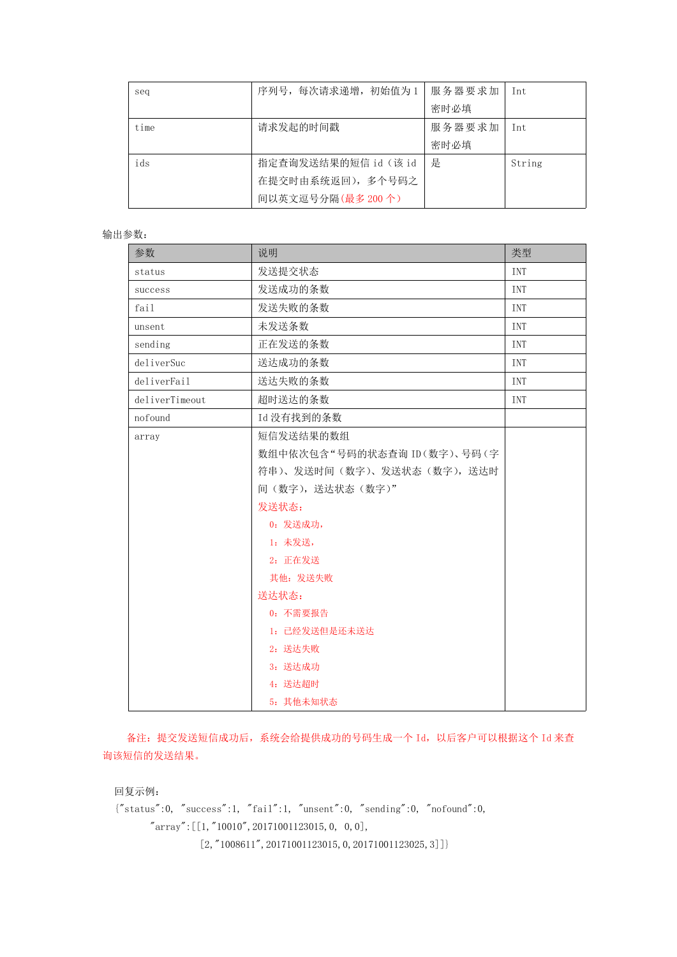| seq  | 序列号, 每次请求递增, 初始值为1   | 服务器要求加 | Int    |
|------|----------------------|--------|--------|
|      |                      | 密时必填   |        |
| time | 请求发起的时间戳             | 服务器要求加 | Int    |
|      |                      | 密时必填   |        |
| ids  | 指定查询发送结果的短信 id (该 id | 是      | String |
|      | 在提交时由系统返回), 多个号码之    |        |        |
|      | 间以英文逗号分隔(最多200个)     |        |        |

#### 输出参数:

| 参数             | 说明                          | 类型  |
|----------------|-----------------------------|-----|
| status         | 发送提交状态                      | INT |
| success        | 发送成功的条数                     | INT |
| fail           | 发送失败的条数                     | INT |
| unsent         | 未发送条数                       | INT |
| sending        | 正在发送的条数                     | INT |
| deliverSuc     | 送达成功的条数                     | INT |
| deliverFail    | 送达失败的条数                     | INT |
| deliverTimeout | 超时送达的条数                     | INT |
| nofound        | Id 没有找到的条数                  |     |
| array          | 短信发送结果的数组                   |     |
|                | 数组中依次包含"号码的状态查询 ID(数字)、号码(字 |     |
|                | 符串)、发送时间(数字)、发送状态(数字),送达时   |     |
|                | 间(数字), 送达状态(数字)"            |     |
|                | 发送状态:                       |     |
|                | 0: 发送成功,                    |     |
|                | 1: 未发送,                     |     |
|                | 2: 正在发送                     |     |
|                | 其他: 发送失败                    |     |
|                | 送达状态:                       |     |
|                | 0: 不需要报告                    |     |
|                | 1: 已经发送但是还未送达               |     |
|                | 2: 送达失败                     |     |
|                | 3: 送达成功                     |     |
|                | 4: 送达超时                     |     |
|                | 5: 其他未知状态                   |     |

备注:提交发送短信成功后,系统会给提供成功的号码生成一个 Id,以后客户可以根据这个 Id 来查 询该短信的发送结果。

回复示例:

 ${$ "status":0, "success":1, "fail":1, "unsent":0, "sending":0, "nofound":0, "array":[[1,"10010",20171001123015,0, 0,0],  $[2, 710086117, 20171001123015, 0, 20171001123025, 3]]$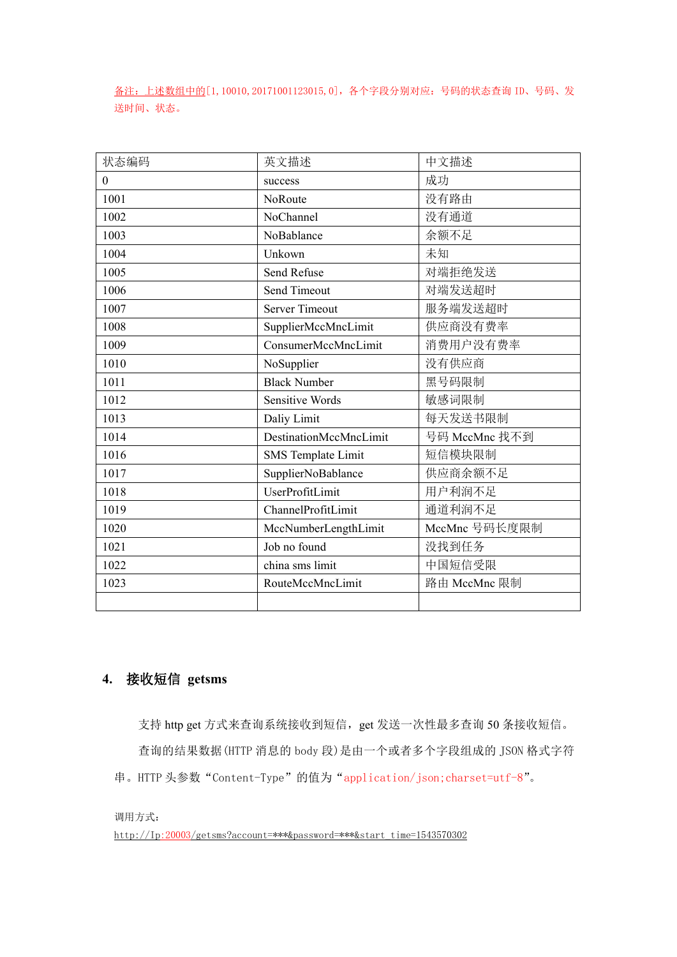备注:上述数组中的[1,10010,20171001123015,0],各个字段分别对应:号码的状态查询 ID、号码、发 送时间、状态。

| 状态编码         | 英文描述                   | 中文描述          |  |
|--------------|------------------------|---------------|--|
| $\mathbf{0}$ | success                | 成功            |  |
| 1001         | NoRoute                | 没有路由          |  |
| 1002         | NoChannel              | 没有通道          |  |
| 1003         | NoBablance             | 余额不足          |  |
| 1004         | Unkown                 | 未知            |  |
| 1005         | Send Refuse            | 对端拒绝发送        |  |
| 1006         | Send Timeout           | 对端发送超时        |  |
| 1007         | <b>Server Timeout</b>  | 服务端发送超时       |  |
| 1008         | SupplierMccMncLimit    | 供应商没有费率       |  |
| 1009         | ConsumerMccMncLimit    | 消费用户没有费率      |  |
| 1010         | NoSupplier             | 没有供应商         |  |
| 1011         | <b>Black Number</b>    | 黑号码限制         |  |
| 1012         | <b>Sensitive Words</b> | 敏感词限制         |  |
| 1013         | Daliy Limit            | 每天发送书限制       |  |
| 1014         | DestinationMccMncLimit | 号码 MccMnc 找不到 |  |
| 1016         | SMS Template Limit     | 短信模块限制        |  |
| 1017         | SupplierNoBablance     | 供应商余额不足       |  |
| 1018         | UserProfitLimit        | 用户利润不足        |  |
| 1019         | ChannelProfitLimit     | 通道利润不足        |  |
| 1020         | MccNumberLengthLimit   | MccMnc 号码长度限制 |  |
| 1021         | Job no found           | 没找到任务         |  |
| 1022         | china sms limit        | 中国短信受限        |  |
| 1023         | RouteMccMncLimit       | 路由 MccMnc 限制  |  |
|              |                        |               |  |

# **4.** 接收短信 **getsms**

支持 http get 方式来查询系统接收到短信, get 发送一次性最多查询 50 条接收短信。 查询的结果数据(HTTP 消息的 body 段)是由一个或者多个字段组成的 JSON 格式字符 串。HTTP 头参数"Content-Type"的值为"application/json;charset=utf-8"。

调用方式:

http://Ip:20003/getsms?account=\*\*\*&password=\*\*\*&start\_time=1543570302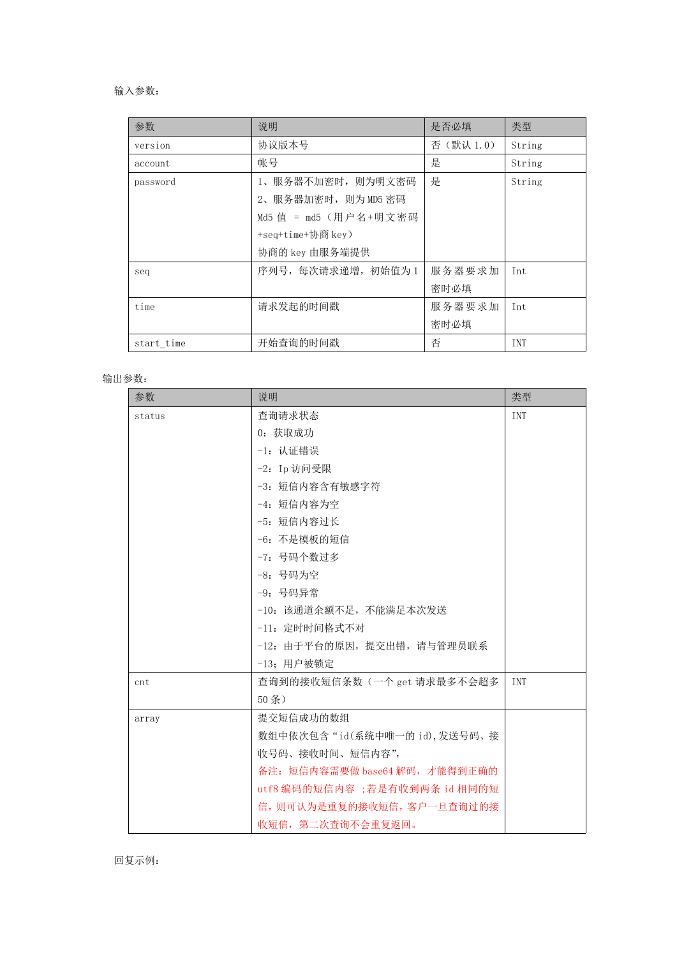#### 输入参数:

| 参数         | 说明                    | 是否必填     | 类型         |
|------------|-----------------------|----------|------------|
| version    | 协议版本号                 | 否(默认1.0) | String     |
| account    | 帐号                    | 是        | String     |
| password   | 1、服务器不加密时, 则为明文密码     | 是        | String     |
|            | 2、服务器加密时, 则为 MD5 密码   |          |            |
|            | Md5 值 = md5 (用户名+明文密码 |          |            |
|            | +seq+time+协商 key)     |          |            |
|            | 协商的 key 由服务端提供        |          |            |
| seq        | 序列号, 每次请求递增, 初始值为1    | 服务器要求加   | Int        |
|            |                       | 密时必填     |            |
| time       | 请求发起的时间戳              | 服务器要求加   | Int        |
|            |                       | 密时必填     |            |
| start_time | 开始查询的时间戳              | 否        | <b>TNT</b> |

输出参数:

| 参数     | 说明                             | 类型  |
|--------|--------------------------------|-----|
| status | 查询请求状态                         | INT |
|        | 0: 获取成功                        |     |
|        | -1: 认证错误                       |     |
|        | $-2$ : Ip 访问受限                 |     |
|        | -3: 短信内容含有敏感字符                 |     |
|        | -4: 短信内容为空                     |     |
|        | -5: 短信内容过长                     |     |
|        | -6: 不是模板的短信                    |     |
|        | -7: 号码个数过多                     |     |
|        | -8: 号码为空                       |     |
|        | -9: 号码异常                       |     |
|        | -10: 该通道余额不足, 不能满足本次发送         |     |
|        | -11: 定时时间格式不对                  |     |
|        | -12: 由于平台的原因, 提交出错, 请与管理员联系    |     |
|        | -13; 用户被锁定                     |     |
| cnt    | 查询到的接收短信条数(一个 get 请求最多不会超多     | INT |
|        | $50$ 条)                        |     |
| array  | 提交短信成功的数组                      |     |
|        | 数组中依次包含"id(系统中唯一的 id),发送号码、接   |     |
|        | 收号码、接收时间、短信内容",                |     |
|        | 备注: 短信内容需要做 base64 解码, 才能得到正确的 |     |
|        | utf8 编码的短信内容;若是有收到两条 id 相同的短   |     |
|        | 信,则可认为是重复的接收短信,客户一旦查询过的接       |     |
|        | 收短信, 第二次查询不会重复返回。              |     |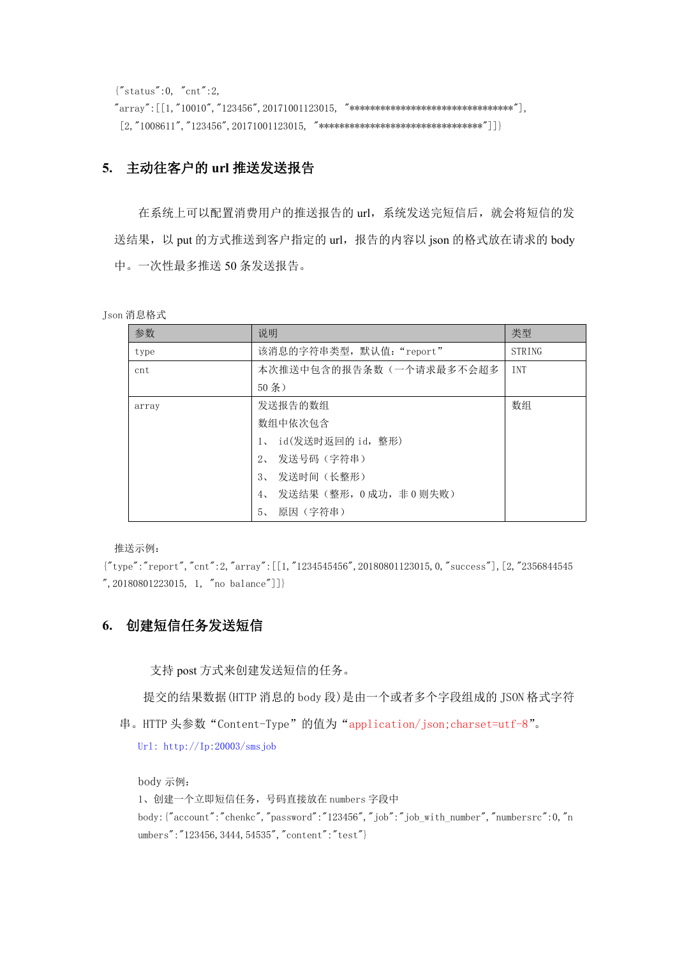{"status":0, "cnt":2,  $"array"$ : [[1,"10010","123456", 20171001123015, "\*\*\*\*\*\*\*\*\*\*\*\*\*\*\*\*\*\*\*\*\*\*\*\*\*\*\*\*\*\*\*\*\*\*\*,  $[2, "1008611", "123456", 20171001123015, "********************************************]\}]$ 

## **5.** 主动往客户的 **url** 推送发送报告

在系统上可以配置消费用户的推送报告的 url,系统发送完短信后,就会将短信的发 送结果, 以 put 的方式推送到客户指定的 url, 报告的内容以 json 的格式放在请求的 body 中。一次性最多推送 50 条发送报告。

```
Json 消息格式
```

| 参数    | 说明                                | 类型         |
|-------|-----------------------------------|------------|
| type  | 该消息的字符串类型, 默认值: "report"          | STRING     |
| cnt   | 本次推送中包含的报告条数(一个请求最多不会超多           | <b>INT</b> |
|       | 50 <sup>2</sup>                   |            |
| array | 发送报告的数组                           | 数组         |
|       | 数组中依次包含                           |            |
|       | id(发送时返回的 id, 整形)<br>$1_{\infty}$ |            |
|       | 发送号码(字符串)<br>$2\sim$              |            |
|       | 发送时间(长整形)<br>$3\sim$              |            |
|       | 发送结果(整形,0成功,非0则失败)<br>$4\cdot$    |            |
|       | 原因(字符串)<br>$5\degree$             |            |

推送示例:

{"type":"report","cnt":2,"array":[[1,"1234545456",20180801123015,0,"success"],[2,"2356844545 ",20180801223015, 1, "no balance"]]}

# **6.** 创建短信任务发送短信

支持 post 方式来创建发送短信的任务。

提交的结果数据(HTTP 消息的 body 段)是由一个或者多个字段组成的 JSON 格式字符

串。HTTP 头参数"Content-Type"的值为"application/json;charset=utf-8"。

Url: [http://Ip:20003/sms](http://ip:20003/sendsms)job

```
body 示例:
1、创建一个立即短信任务,号码直接放在 numbers 字段中
body:{"account":"chenkc","password":"123456","job":"job_with_number","numbersrc":0,"n
umbers":"123456,3444,54535","content":"test"}
```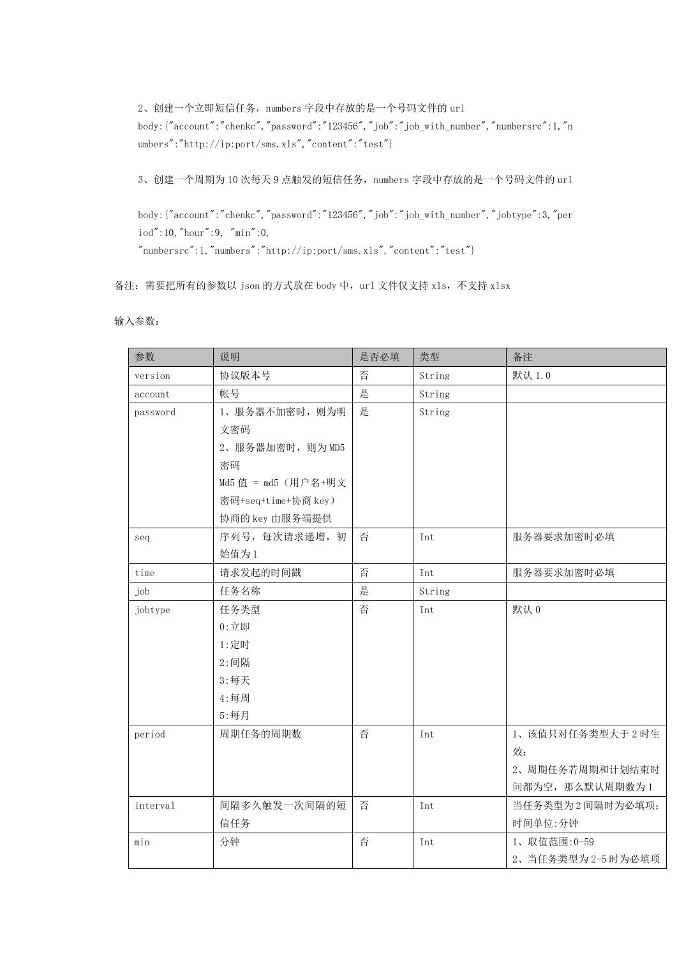2、创建一个立即短信任务, numbers 字段中存放的是一个号码文件的 url body: {"account":"chenkc","password":"123456","job":"job\_with\_number","numbersrc":1,"n umbers":"http://ip:port/sms.xls","content":"test"}

3、创建一个周期为 10 次每天 9 点触发的短信任务, numbers 字段中存放的是一个号码文件的 url

body:{"account":"chenkc","password":"123456","job":"job\_with\_number","jobtype":3,"per iod":10,"hour":9, "min":0,

 $"numbersrc":1,"numbers":"http://ip:port/sms.xls","content":"test"\}$ 

备注: 需要把所有的参数以 json 的方式放在 body 中, url 文件仅支持 xls, 不支持 xlsx

输入参数:

| 参数       | 说明                  | 是否必填 | 类型     | 备注                 |
|----------|---------------------|------|--------|--------------------|
| version  | 协议版本号               | 否    | String | 默认 1.0             |
| account  | 帐号                  | 是    | String |                    |
| password | 1、服务器不加密时, 则为明      | 是    | String |                    |
|          | 文密码                 |      |        |                    |
|          | 2、服务器加密时, 则为 MD5    |      |        |                    |
|          | 密码                  |      |        |                    |
|          | Md5 值 = md5 (用户名+明文 |      |        |                    |
|          | 密码+seq+time+协商 key) |      |        |                    |
|          | 协商的 key 由服务端提供      |      |        |                    |
| seq      | 序列号, 每次请求递增, 初      | 否    | Int    | 服务器要求加密时必填         |
|          | 始值为1                |      |        |                    |
| time     | 请求发起的时间戳            | 否    | Int    | 服务器要求加密时必填         |
| job      | 任务名称                | 是    | String |                    |
| jobtype  | 任务类型                | 否    | Int    | 默认 0               |
|          | $0: 2E$ 即           |      |        |                    |
|          | 1:定时                |      |        |                    |
|          | 2:间隔                |      |        |                    |
|          | 3:每天                |      |        |                    |
|          | 4:每周                |      |        |                    |
|          | 5:每月                |      |        |                    |
| period   | 周期任务的周期数            | 否    | Int    | 1、该值只对任务类型大于2时生    |
|          |                     |      |        | 效;                 |
|          |                     |      |        | 2、周期任务若周期和计划结束时    |
|          |                     |      |        | 间都为空, 那么默认周期数为1    |
| interval | 间隔多久触发一次间隔的短        | 否    | Int    | 当任务类型为2间隔时为必填项;    |
|          | 信任务                 |      |        | 时间单位:分钟            |
| min      | 分钟                  | 否    | Int    | 1、取值范围:0-59        |
|          |                     |      |        | 2、当任务类型为 2-5 时为必填项 |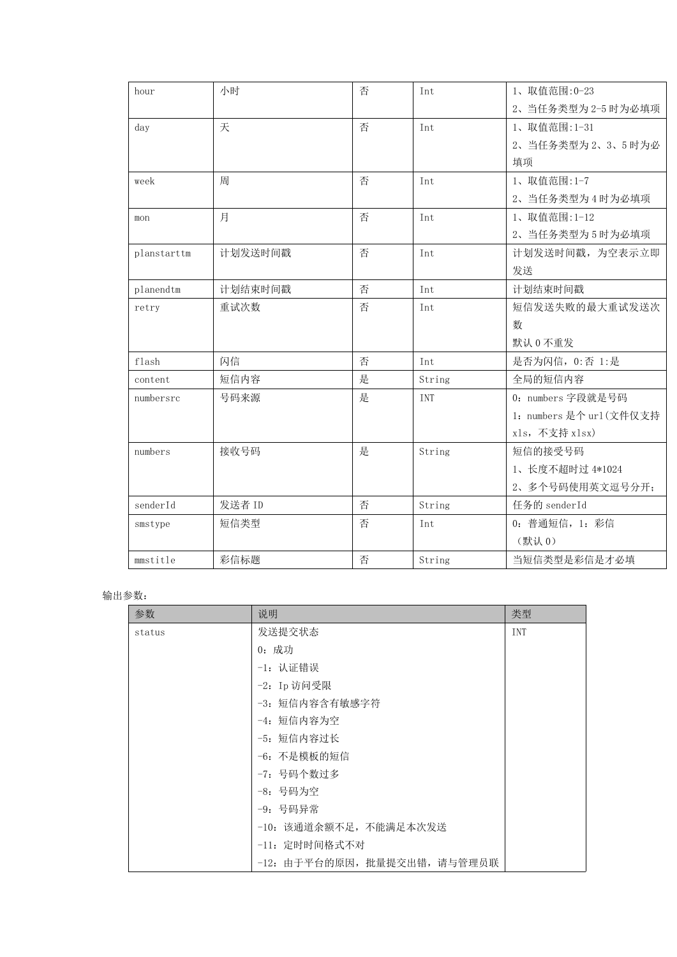| hour        | 小时      | 否 | Int    | 1、取值范围: 0-23             |
|-------------|---------|---|--------|--------------------------|
|             |         |   |        | 2、当任务类型为 2-5 时为必填项       |
| day         | 天       | 否 | Int    | 1、取值范围:1-31              |
|             |         |   |        | 2、当任务类型为2、3、5时为必         |
|             |         |   |        | 填项                       |
| week        | 周       | 否 | Int    | 1、取值范围:1-7               |
|             |         |   |        | 2、当任务类型为4时为必填项           |
| mon         | 月       | 否 | Int    | 1、取值范围:1-12              |
|             |         |   |        | 2、当任务类型为5时为必填项           |
| planstarttm | 计划发送时间戳 | 否 | Int    | 计划发送时间戳, 为空表示立即          |
|             |         |   |        | 发送                       |
| planendtm   | 计划结束时间戳 | 否 | Int    | 计划结束时间戳                  |
| retry       | 重试次数    | 否 | Int    | 短信发送失败的最大重试发送次           |
|             |         |   |        | 数                        |
|             |         |   |        | 默认 0 不重发                 |
| flash       | 闪信      | 否 | Int    | 是否为闪信, 0:否 1:是           |
| content     | 短信内容    | 是 | String | 全局的短信内容                  |
| numbersrc   | 号码来源    | 是 | INT    | 0: numbers 字段就是号码        |
|             |         |   |        | 1: numbers 是个 url (文件仅支持 |
|             |         |   |        | xls, 不支持 xlsx)           |
| numbers     | 接收号码    | 是 | String | 短信的接受号码                  |
|             |         |   |        | 1、长度不超时过 4*1024          |
|             |         |   |        | 2、多个号码使用英文逗号分开;          |
| senderId    | 发送者 ID  | 否 | String | 任务的 senderId             |
| smstype     | 短信类型    | 否 | Int    | 0: 普通短信, 1: 彩信           |
|             |         |   |        | (默认0)                    |
| mmstitle    | 彩信标题    | 否 | String | 当短信类型是彩信是才必填             |
|             |         |   |        |                          |

#### 输出参数:

| 参数     | 说明                           | 类型         |
|--------|------------------------------|------------|
| status | 发送提交状态                       | <b>INT</b> |
|        | 0: 成功                        |            |
|        | -1: 认证错误                     |            |
|        | -2: Ip 访问受限                  |            |
|        | -3: 短信内容含有敏感字符               |            |
|        | -4: 短信内容为空                   |            |
|        | -5: 短信内容过长                   |            |
|        | -6: 不是模板的短信                  |            |
|        | -7: 号码个数过多                   |            |
|        | -8: 号码为空                     |            |
|        | -9: 号码异常                     |            |
|        | -10: 该通道余额不足, 不能满足本次发送       |            |
|        | -11: 定时时间格式不对                |            |
|        | -12: 由于平台的原因, 批量提交出错, 请与管理员联 |            |